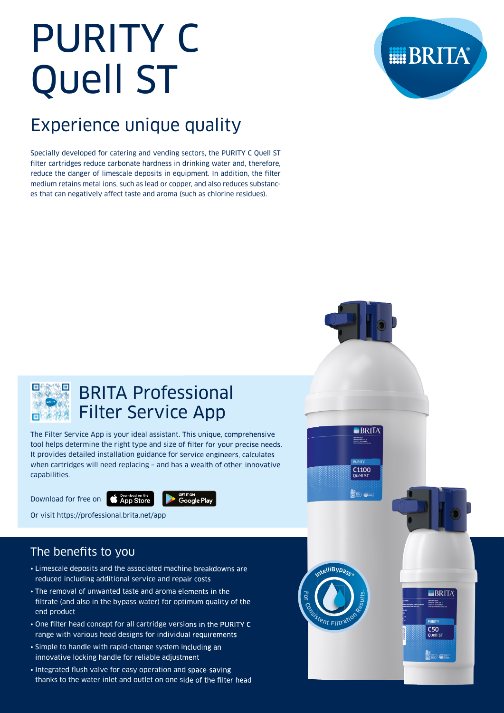# PURITY C Quell ST

# Experience unique quality

Specially developed for catering and vending sectors, the PURITY C Quell ST filter cartridges reduce carbonate hardness in drinking water and, therefore, reduce the danger of limescale deposits in equipment. In addition, the filter medium retains metal ions, such as lead or copper, and also reduces substances that can negatively affect taste and aroma (such as chlorine residues).





# BRITA Professional Filter Service App

The Filter Service App is your ideal assistant. This unique, comprehensive tool helps determine the right type and size of filter for your precise needs. It provides detailed installation guidance for service engineers, calculates when cartridges will need replacing – and has a wealth of other, innovative capabilities.

Download for free on



Or visit https://professional.brita.net/app

## The benefits to you

- Limescale deposits and the associated machine breakdowns are reduced including additional service and repair costs
- The removal of unwanted taste and aroma elements in the filtrate (and also in the bypass water) for optimum quality of the end product
- One filter head concept for all cartridge versions in the PURITY C range with various head designs for individual requirements
- Simple to handle with rapid-change system including an innovative locking handle for reliable adjustment
- Integrated flush valve for easy operation and space-saving thanks to the water inlet and outlet on one side of the filter head

relliBypass Fo $\overline{\phantom{a}}$ **C<sub>ASIStent Filtration**</sub> Results.

 $\blacksquare$ BRITA BRITA Grean<br>Heinrich-Herzodor 4<br>D-05232 Taurussiein

 $C$ 1100<br>Quell ST

OED OF

**||BRITA** BRITA Great<br>Heinrich-Harz (dr. 4)<br>D-95232 Teurusstah

**PLIRITY** C50<br>Quell ST

820